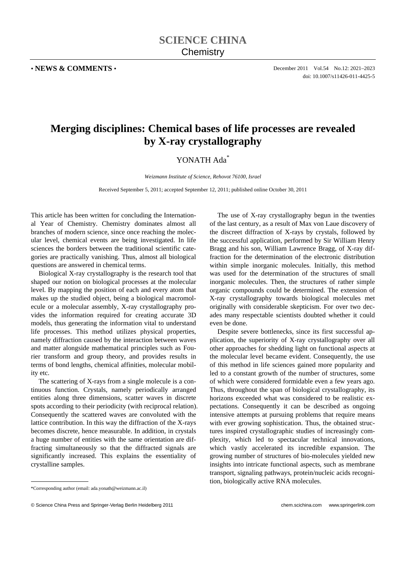• **NEWS & COMMENTS** • December 2011 Vol.54 No.12: 2021–2023 doi: 10.1007/s11426-011-4425-5

## **Merging disciplines: Chemical bases of life processes are revealed by X-ray crystallography**

## YONATH Ada<sup>\*</sup>

*Weizmann Institute of Science, Rehovot 76100, Israel* 

Received September 5, 2011; accepted September 12, 2011; published online October 30, 2011

This article has been written for concluding the International Year of Chemistry. Chemistry dominates almost all branches of modern science, since once reaching the molecular level, chemical events are being investigated. In life sciences the borders between the traditional scientific categories are practically vanishing. Thus, almost all biological questions are answered in chemical terms.

Biological X-ray crystallography is the research tool that shaped our notion on biological processes at the molecular level. By mapping the position of each and every atom that makes up the studied object, being a biological macromolecule or a molecular assembly, X-ray crystallography provides the information required for creating accurate 3D models, thus generating the information vital to understand life processes. This method utilizes physical properties, namely diffraction caused by the interaction between waves and matter alongside mathematical principles such as Fourier transform and group theory, and provides results in terms of bond lengths, chemical affinities, molecular mobility etc.

The scattering of X-rays from a single molecule is a continuous function. Crystals, namely periodically arranged entities along three dimensions, scatter waves in discrete spots according to their periodicity (with reciprocal relation). Consequently the scattered waves are convoluted with the lattice contribution. In this way the diffraction of the X-rays becomes discrete, hence measurable. In addition, in crystals a huge number of entities with the same orientation are diffracting simultaneously so that the diffracted signals are significantly increased. This explains the essentiality of crystalline samples.

The use of X-ray crystallography begun in the twenties of the last century, as a result of Max von Laue discovery of the discreet diffraction of X-rays by crystals, followed by the successful application, performed by Sir William Henry Bragg and his son, William Lawrence Bragg, of X-ray diffraction for the determination of the electronic distribution within simple inorganic molecules. Initially, this method was used for the determination of the structures of small inorganic molecules. Then, the structures of rather simple organic compounds could be determined. The extension of X-ray crystallography towards biological molecules met originally with considerable skepticism. For over two decades many respectable scientists doubted whether it could even be done.

Despite severe bottlenecks, since its first successful application, the superiority of X-ray crystallography over all other approaches for shedding light on functional aspects at the molecular level became evident. Consequently, the use of this method in life sciences gained more popularity and led to a constant growth of the number of structures, some of which were considered formidable even a few years ago. Thus, throughout the span of biological crystallography, its horizons exceeded what was considered to be realistic expectations. Consequently it can be described as ongoing intensive attempts at pursuing problems that require means with ever growing sophistication. Thus, the obtained structures inspired crystallographic studies of increasingly complexity, which led to spectacular technical innovations, which vastly accelerated its incredible expansion. The growing number of structures of bio-molecules yielded new insights into intricate functional aspects, such as membrane transport, signaling pathways, protein/nucleic acids recognition, biologically active RNA molecules.

 $\overline{a}$ 

<sup>\*</sup>Corresponding author (email: ada.yonath@weizmann.ac.il)

<sup>©</sup> Science China Press and Springer-Verlag Berlin Heidelberg 2011 chem.scichina.com www.springerlink.com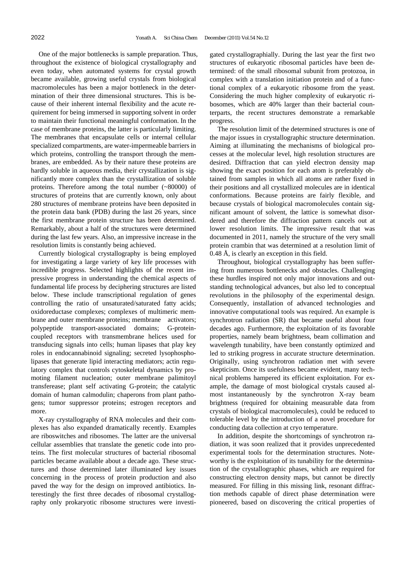One of the major bottlenecks is sample preparation. Thus, throughout the existence of biological crystallography and even today, when automated systems for crystal growth became available, growing useful crystals from biological macromolecules has been a major bottleneck in the determination of their three dimensional structures. This is because of their inherent internal flexibility and the acute requirement for being immersed in supporting solvent in order to maintain their functional meaningful conformation. In the case of membrane proteins, the latter is particularly limiting. The membranes that encapsulate cells or internal cellular specialized compartments, are water-impermeable barriers in which proteins, controlling the transport through the membranes, are embedded. As by their nature these proteins are hardly soluble in aqueous media, their crystallization is significantly more complex than the crystallization of soluble proteins. Therefore among the total number (~80000) of structures of proteins that are currently known, only about 280 structures of membrane proteins have been deposited in the protein data bank (PDB) during the last 26 years, since the first membrane protein structure has been determined. Remarkably, about a half of the structures were determined during the last few years. Also, an impressive increase in the resolution limits is constantly being achieved.

Currently biological crystallography is being employed for investigating a large variety of key life processes with incredible progress. Selected highlights of the recent impressive progress in understanding the chemical aspects of fundamental life process by deciphering structures are listed below. These include transcriptional regulation of genes controlling the ratio of unsaturated/saturated fatty acids; oxidoreductase complexes; complexes of multimeric membrane and outer membrane proteins; membrane activators; polypeptide transport-associated domains; G-proteincoupled receptors with transmembrane helices used for transducing signals into cells; human lipases that play key roles in endocannabinoid signaling; secreted lysophospholipases that generate lipid interacting mediators; actin regulatory complex that controls cytoskeletal dynamics by promoting filament nucleation; outer membrane palimitoyl transferease; plant self activating G-protein; the catalytic domain of human calmodulin; chaperons from plant pathogens; tumor suppressor proteins; estrogen receptors and more.

X-ray crystallography of RNA molecules and their complexes has also expanded dramatically recently. Examples are riboswitches and ribosomes. The latter are the universal cellular assemblies that translate the genetic code into proteins. The first molecular structures of bacterial ribosomal particles became available about a decade ago. These structures and those determined later illuminated key issues concerning in the process of protein production and also paved the way for the design on improved antibiotics. Interestingly the first three decades of ribosomal crystallography only prokaryotic ribosome structures were investigated crystallographially. During the last year the first two structures of eukaryotic ribosomal particles have been determined: of the small ribosomal subunit from protozoa, in complex with a translation initiation protein and of a functional complex of a eukaryotic ribosome from the yeast. Considering the much higher complexity of eukaryotic ribosomes, which are 40% larger than their bacterial counterparts, the recent structures demonstrate a remarkable progress.

The resolution limit of the determined structures is one of the major issues in crystallographic structure determination. Aiming at illuminating the mechanisms of biological processes at the molecular level, high resolution structures are desired. Diffraction that can yield electron density map showing the exact position for each atom is preferably obtained from samples in which all atoms are rather fixed in their positions and all crystallized molecules are in identical conformations. Because proteins are fairly flexible, and because crystals of biological macromolecules contain significant amount of solvent, the lattice is somewhat disordered and therefore the diffraction pattern cancels out at lower resolution limits. The impressive result that was documented in 2011, namely the structure of the very small protein crambin that was determined at a resolution limit of 0.48 Å, is clearly an exception in this field.

Throughout, biological crystallography has been suffering from numerous bottlenecks and obstacles. Challenging these hurdles inspired not only major innovations and outstanding technological advances, but also led to conceptual revolutions in the philosophy of the experimental design. Consequently, installation of advanced technologies and innovative computational tools was required. An example is synchrotron radiation (SR) that became useful about four decades ago. Furthermore, the exploitation of its favorable properties, namely beam brightness, beam collimation and wavelength tunability, have been constantly optimized and led to striking progress in accurate structure determination. Originally, using synchrotron radiation met with severe skepticism. Once its usefulness became evident, many technical problems hampered its efficient exploitation. For example, the damage of most biological crystals caused almost instantaneously by the synchrotron X-ray beam brightness (required for obtaining measurable data from crystals of biological macromolecules), could be reduced to tolerable level by the introduction of a novel procedure for conducting data collection at cryo temperature.

In addition, despite the shortcomings of synchrotron radiation, it was soon realized that it provides unprecedented experimental tools for the determination structures. Noteworthy is the exploitation of its tunability for the determination of the crystallographic phases, which are required for constructing electron density maps, but cannot be directly measured. For filling in this missing link, resonant diffraction methods capable of direct phase determination were pioneered, based on discovering the critical properties of